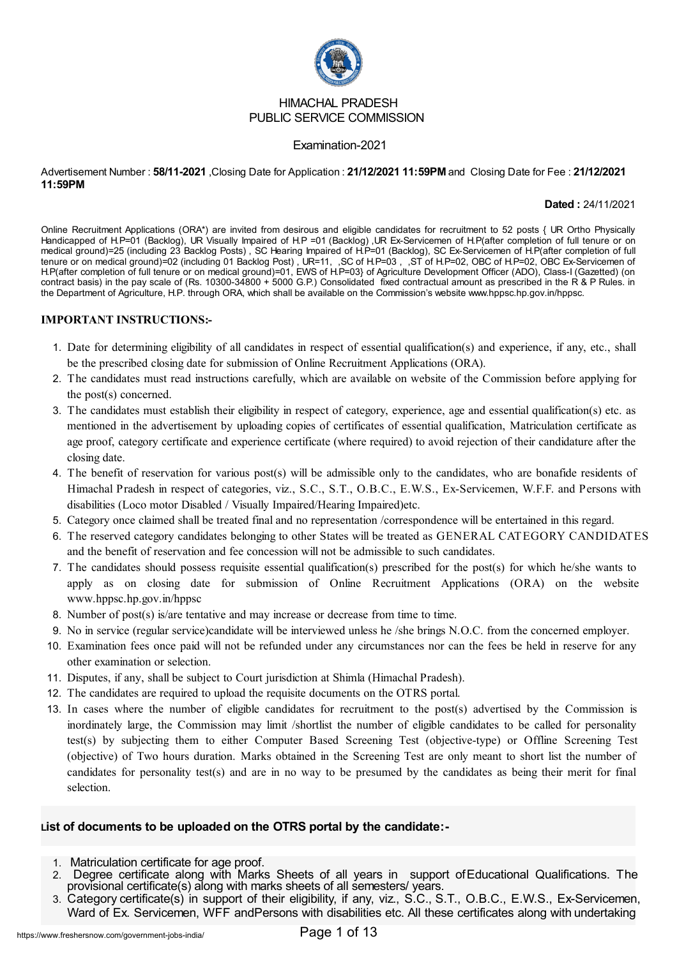

#### HIMACHAL PRADESH PUBLIC SERVICE COMMISSION

#### Examination-2021

#### Advertisement Number : **58/11-2021** ,Closing Date for Application : **21/12/2021 11:59PM** and Closing Date for Fee : **21/12/2021 11:59PM**

**Dated :** 24/11/2021

Online Recruitment Applications (ORA\*) are invited from desirous and eligible candidates for recruitment to 52 posts { UR Ortho Physically Handicapped of H.P=01 (Backlog), UR Visually Impaired of H.P =01 (Backlog) ,UR Ex-Servicemen of H.P(after completion of full tenure or on medical ground)=25 (including 23 Backlog Posts) , SC Hearing Impaired of H.P=01 (Backlog), SC Ex-Servicemen of H.P(after completion of full tenure or on medical ground)=02 (including 01 Backlog Post) , UR=11, ,SC of H.P=03 , ,ST of H.P=02, OBC of H.P=02, OBC Ex-Servicemen of H.P(after completion of full tenure or on medical ground)=01, EWS of H.P=03} of Agriculture Development Officer (ADO), Class-I (Gazetted) (on contract basis) in the pay scale of (Rs. 10300-34800 + 5000 G.P.) Consolidated fixed contractual amount as prescribed in the R & P Rules. in the Department of Agriculture, H.P. through ORA, which shall be available on the Commission's website www.hppsc.hp.gov.in/hppsc.

#### **IMPORTANT INSTRUCTIONS:-**

- 1. Date for determining eligibility of all candidates in respect of essential qualification(s) and experience, if any, etc., shall be the prescribed closing date for submission of Online Recruitment Applications (ORA).
- 2. The candidates must read instructions carefully, which are available on website of the Commission before applying for the post(s) concerned.
- 3. The candidates must establish their eligibility in respect of category, experience, age and essential qualification(s) etc. as mentioned in the advertisement by uploading copies of certificates of essential qualification, Matriculation certificate as age proof, category certificate and experience certificate (where required) to avoid rejection of their candidature after the closing date.
- 4. The benefit of reservation for various post(s) will be admissible only to the candidates, who are bonafide residents of Himachal Pradesh in respect of categories, viz., S.C., S.T., O.B.C., E.W.S., Ex-Servicemen, W.F.F. and Persons with disabilities (Loco motor Disabled / Visually Impaired/Hearing Impaired)etc.
- 5. Category once claimed shall be treated final and no representation /correspondence will be entertained in this regard.
- 6. The reserved category candidates belonging to other States will be treated as GENERAL CATEGORY CANDIDATES and the benefit of reservation and fee concession will not be admissible to such candidates.
- 7. The candidates should possess requisite essential qualification(s) prescribed for the post(s) for which he/she wants to apply as on closing date for submission of Online Recruitment Applications (ORA) on the website www.hppsc.hp.gov.in/hppsc
- 8. Number of post(s) is/are tentative and may increase or decrease from time to time.
- 9. No in service (regular service)candidate will be interviewed unless he /she brings N.O.C. from the concerned employer.
- 10. Examination fees once paid will not be refunded under any circumstances nor can the fees be held in reserve for any other examination or selection.
- 11. Disputes, if any, shall be subject to Court jurisdiction at Shimla (Himachal Pradesh).
- 12. The candidates are required to upload the requisite documents on the OTRS portal.
- 13. In cases where the number of eligible candidates for recruitment to the post(s) advertised by the Commission is inordinately large, the Commission may limit /shortlist the number of eligible candidates to be called for personality test(s) by subjecting them to either Computer Based Screening Test (objective-type) or Offline Screening Test (objective) of Two hours duration. Marks obtained in the Screening Test are only meant to short list the number of candidates for personality test(s) and are in no way to be presumed by the candidates as being their merit for final selection.

### **List of documents to be uploaded on the OTRS portal by the candidate:-**

- 1. Matriculation certificate for age proof.
- 2. Degree certificate along with Marks Sheets of all years in support ofEducational Qualifications. The provisional certificate(s) along with marks sheets of all semesters/years.
- 3. Category certificate(s) in support of their eligibility, if any, viz., S.C., S.T., O.B.C., E.W.S., Ex-Servicemen, Ward of Ex. Servicemen, WFF andPersons with disabilities etc. All these certificates along with undertaking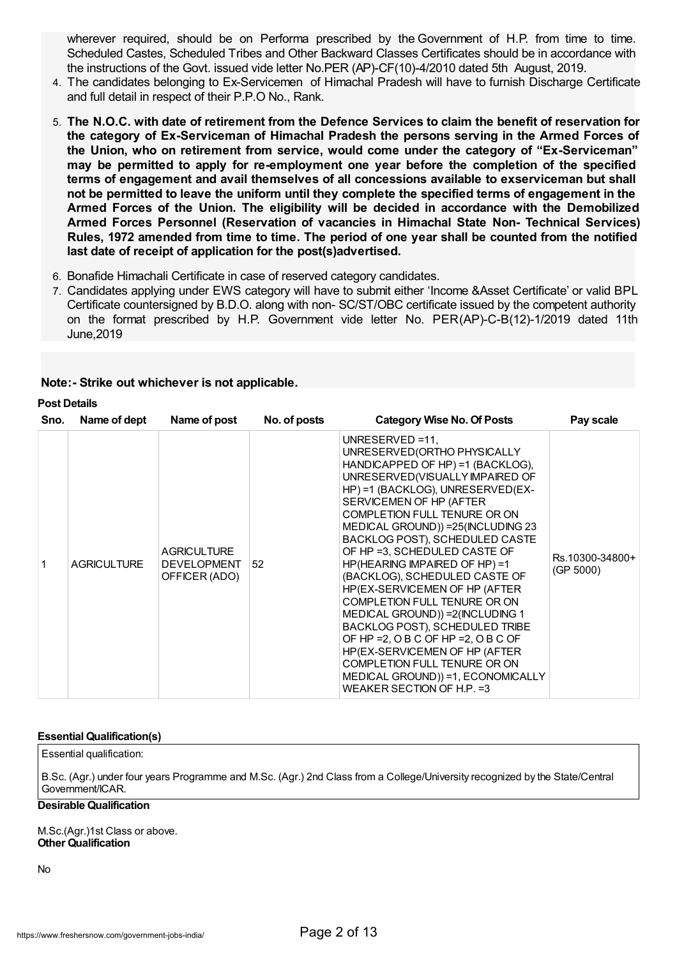wherever required, should be on Performa prescribed by the Government of H.P. from time to time. Scheduled Castes, Scheduled Tribes and Other Backward Classes Certificates should be in accordance with the instructions of the Govt. issued vide letter No.PER (AP)-CF(10)-4/2010 dated 5th August, 2019.

- 4. The candidates belonging to Ex-Servicemen of Himachal Pradesh will have to furnish Discharge Certificate and full detail in respect of their P.P.O No., Rank.
- 5. **The N.O.C. with date of retirement from the Defence Services to claim the benefit of reservation for the category of Ex-Serviceman of Himachal Pradesh the persons serving in the Armed Forces of the Union, who on retirement from service, would come under the category of "Ex-Serviceman" may be permitted to apply for re-employment one year before the completion of the specified terms of engagement and avail themselves of all concessions available to exserviceman but shall not be permitted to leave the uniform until they complete the specified terms of engagement in the Armed Forces of the Union. The eligibility will be decided in accordance with the Demobilized Armed Forces Personnel (Reservation of vacancies in Himachal State Non- Technical Services) Rules, 1972 amended from time to time. The period of one year shall be counted from the notified last date of receipt of application for the post(s)advertised.**
- 6. Bonafide Himachali Certificate in case of reserved category candidates.
- 7. Candidates applying under EWS category will have to submit either 'Income &Asset Certificate' or valid BPL Certificate countersigned by B.D.O. along with non- SC/ST/OBC certificate issued by the competent authority on the format prescribed by H.P. Government vide letter No. PER(AP)-C-B(12)-1/2019 dated 11th June,2019

### **Note:- Strike out whichever is not applicable.**

### **Post Details**

| Sno. | Name of dept       | Name of post                                              | No. of posts | <b>Category Wise No. Of Posts</b>                                                                                                                                                                                                                                                                                                                                                                                                                                                                                                                                                                                                                                                                                       | Pay scale                    |
|------|--------------------|-----------------------------------------------------------|--------------|-------------------------------------------------------------------------------------------------------------------------------------------------------------------------------------------------------------------------------------------------------------------------------------------------------------------------------------------------------------------------------------------------------------------------------------------------------------------------------------------------------------------------------------------------------------------------------------------------------------------------------------------------------------------------------------------------------------------------|------------------------------|
|      | <b>AGRICULTURE</b> | <b>AGRICULTURE</b><br><b>DEVELOPMENT</b><br>OFFICER (ADO) | 52           | UNRESERVED = $11$ .<br>UNRESERVED (ORTHO PHYSICALLY<br>HANDICAPPED OF HP) =1 (BACKLOG),<br>UNRESERVED(VISUALLY IMPAIRED OF<br>HP) =1 (BACKLOG), UNRESERVED(EX-<br>SERVICEMEN OF HP (AFTER<br>COMPLETION FULL TENURE OR ON<br>MEDICAL GROUND)) = 25 (INCLUDING 23<br>BACKLOG POST), SCHEDULED CASTE<br>OF HP = 3, SCHEDULED CASTE OF<br>HP(HEARING IMPAIRED OF HP)=1<br>(BACKLOG), SCHEDULED CASTE OF<br>HP(EX-SERVICEMEN OF HP (AFTER<br>COMPLETION FULL TENURE OR ON<br>MEDICAL GROUND)) = 2(INCLUDING 1<br>BACKLOG POST), SCHEDULED TRIBE<br>OF HP = 2, O B C OF HP = 2, O B C OF<br>HP(EX-SERVICEMEN OF HP (AFTER<br>COMPLETION FULL TENURE OR ON<br>MEDICAL GROUND)) =1, ECONOMICALLY<br>WEAKER SECTION OF H.P. = 3 | Rs.10300-34800+<br>(GP 5000) |

#### **Essential Qualification(s)**

Essential qualification:

B.Sc. (Agr.) under four years Programme and M.Sc. (Agr.) 2nd Class from a College/University recognized by the State/Central Government/ICAR.

#### **Desirable Qualification**

M.Sc.(Agr.)1st Class or above. **Other Qualification**

No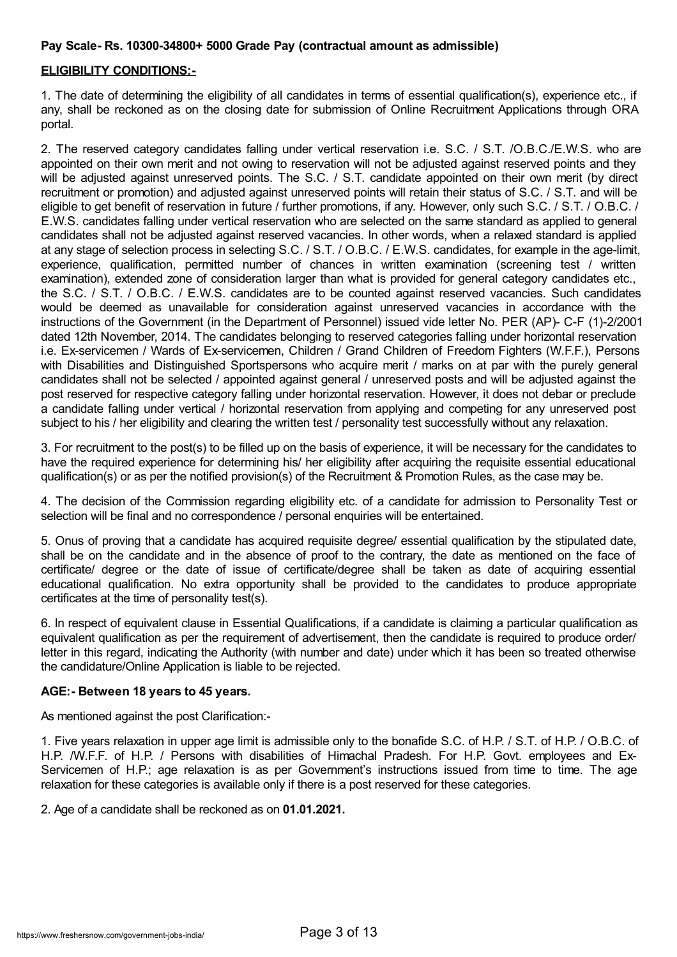## **Pay Scale- Rs. 10300-34800+ 5000 Grade Pay (contractual amount as admissible)**

# **ELIGIBILITY CONDITIONS:-**

1. The date of determining the eligibility of all candidates in terms of essential qualification(s), experience etc., if any, shall be reckoned as on the closing date for submission of Online Recruitment Applications through ORA portal.

2. The reserved category candidates falling under vertical reservation i.e. S.C. / S.T. /O.B.C./E.W.S. who are appointed on their own merit and not owing to reservation will not be adjusted against reserved points and they will be adjusted against unreserved points. The S.C. / S.T. candidate appointed on their own merit (by direct recruitment or promotion) and adjusted against unreserved points will retain their status of S.C. / S.T. and will be eligible to get benefit of reservation in future / further promotions, if any. However, only such S.C. / S.T. / O.B.C. / E.W.S. candidates falling under vertical reservation who are selected on the same standard as applied to general candidates shall not be adjusted against reserved vacancies. In other words, when a relaxed standard is applied at any stage of selection process in selecting S.C. / S.T. / O.B.C. / E.W.S. candidates, for example in the age-limit, experience, qualification, permitted number of chances in written examination (screening test / written examination), extended zone of consideration larger than what is provided for general category candidates etc., the S.C. / S.T. / O.B.C. / E.W.S. candidates are to be counted against reserved vacancies. Such candidates would be deemed as unavailable for consideration against unreserved vacancies in accordance with the instructions of the Government (in the Department of Personnel) issued vide letter No. PER (AP)- C-F (1)-2/2001 dated 12th November, 2014. The candidates belonging to reserved categories falling under horizontal reservation i.e. Ex-servicemen / Wards of Ex-servicemen, Children / Grand Children of Freedom Fighters (W.F.F.), Persons with Disabilities and Distinguished Sportspersons who acquire merit / marks on at par with the purely general candidates shall not be selected / appointed against general / unreserved posts and will be adjusted against the post reserved for respective category falling under horizontal reservation. However, it does not debar or preclude a candidate falling under vertical / horizontal reservation from applying and competing for any unreserved post subject to his / her eligibility and clearing the written test / personality test successfully without any relaxation.

3. For recruitment to the post(s) to be filled up on the basis of experience, it will be necessary for the candidates to have the required experience for determining his/ her eligibility after acquiring the requisite essential educational qualification(s) or as per the notified provision(s) of the Recruitment & Promotion Rules, as the case may be.

4. The decision of the Commission regarding eligibility etc. of a candidate for admission to Personality Test or selection will be final and no correspondence / personal enquiries will be entertained.

5. Onus of proving that a candidate has acquired requisite degree/ essential qualification by the stipulated date, shall be on the candidate and in the absence of proof to the contrary, the date as mentioned on the face of certificate/ degree or the date of issue of certificate/degree shall be taken as date of acquiring essential educational qualification. No extra opportunity shall be provided to the candidates to produce appropriate certificates at the time of personality test(s).

6. In respect of equivalent clause in Essential Qualifications, if a candidate is claiming a particular qualification as equivalent qualification as per the requirement of advertisement, then the candidate is required to produce order/ letter in this regard, indicating the Authority (with number and date) under which it has been so treated otherwise the candidature/Online Application is liable to be rejected.

### **AGE:- Between 18 years to 45 years.**

As mentioned against the post Clarification:-

1. Five years relaxation in upper age limit is admissible only to the bonafide S.C. of H.P. / S.T. of H.P. / O.B.C. of H.P. /W.F.F. of H.P. / Persons with disabilities of Himachal Pradesh. For H.P. Govt. employees and Ex-Servicemen of H.P.; age relaxation is as per Government's instructions issued from time to time. The age relaxation for these categories is available only if there is a post reserved for these categories.

2. Age of a candidate shall be reckoned as on **01.01.2021.**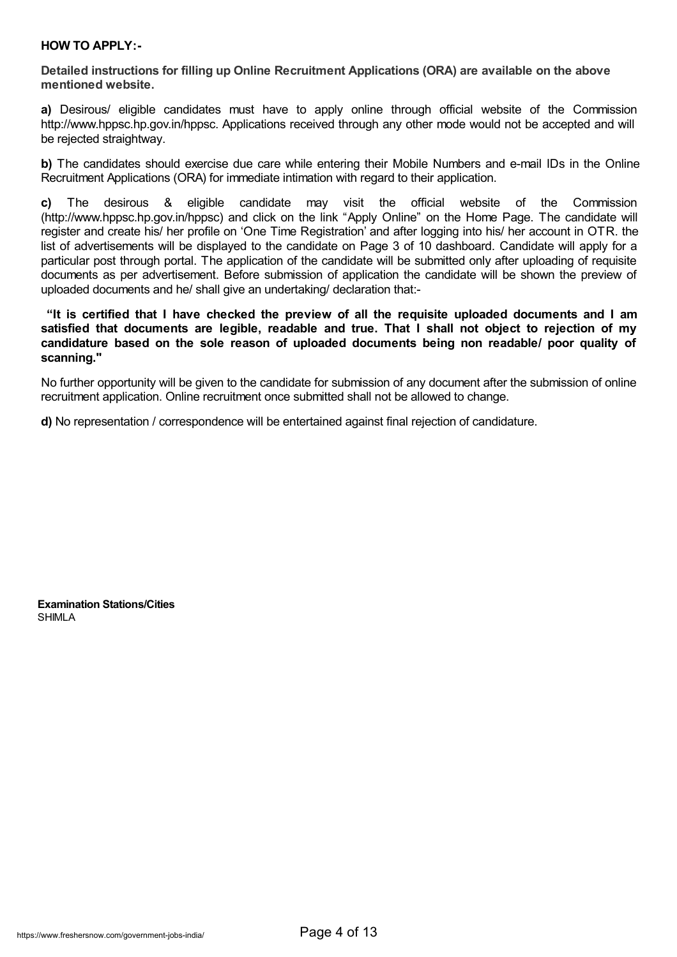### **HOW TO APPLY:-**

**Detailed instructions for filling up Online Recruitment Applications (ORA) are available on the above mentioned website.**

**a)** Desirous/ eligible candidates must have to apply online through official website of the Commission http://www.hppsc.hp.gov.in/hppsc. Applications received through any other mode would not be accepted and will be rejected straightway.

**b)** The candidates should exercise due care while entering their Mobile Numbers and e-mail IDs in the Online Recruitment Applications (ORA) for immediate intimation with regard to their application.

**c)** The desirous & eligible candidate may visit the official website of the Commission (http://www.hppsc.hp.gov.in/hppsc) and click on the link "Apply Online" on the Home Page. The candidate will register and create his/ her profile on 'One Time Registration' and after logging into his/ her account in OTR. the list of advertisements will be displayed to the candidate on Page 3 of 10 dashboard. Candidate will apply for a particular post through portal. The application of the candidate will be submitted only after uploading of requisite documents as per advertisement. Before submission of application the candidate will be shown the preview of uploaded documents and he/ shall give an undertaking/ declaration that:-

**"It is certified that I have checked the preview of all the requisite uploaded documents and I am satisfied that documents are legible, readable and true. That I shall not object to rejection of my candidature based on the sole reason of uploaded documents being non readable/ poor quality of scanning."**

No further opportunity will be given to the candidate for submission of any document after the submission of online recruitment application. Online recruitment once submitted shall not be allowed to change.

**d)** No representation / correspondence will be entertained against final rejection of candidature.

**Examination Stations/Cities** SHIMLA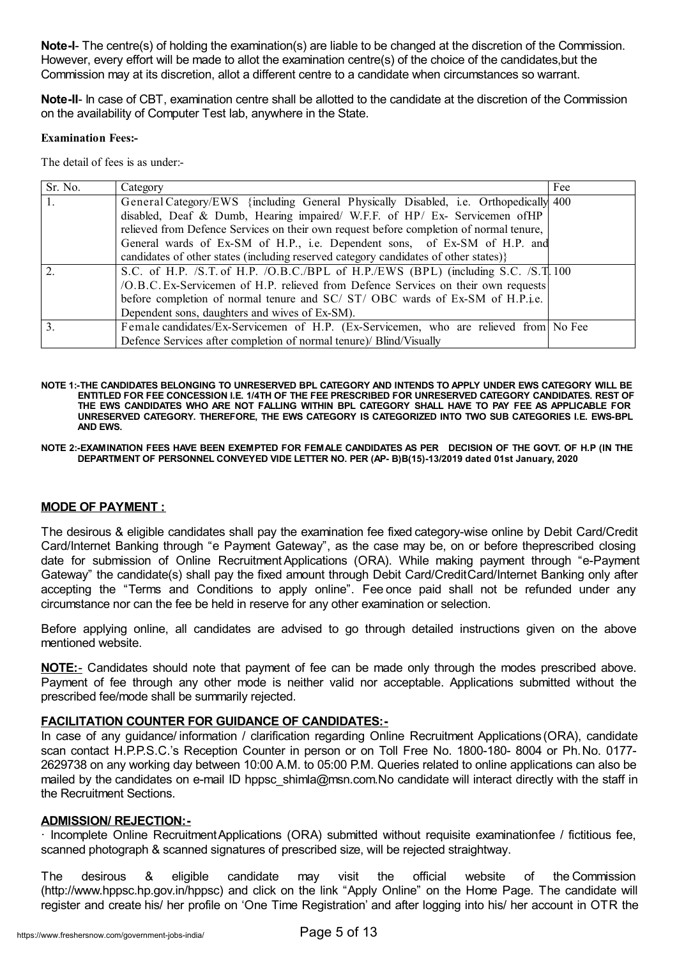**Note-I**- The centre(s) of holding the examination(s) are liable to be changed at the discretion of the Commission. However, every effort will be made to allot the examination centre(s) of the choice of the candidates,but the Commission may at its discretion, allot a different centre to a candidate when circumstances so warrant.

**Note-II**- In case of CBT, examination centre shall be allotted to the candidate at the discretion of the Commission on the availability of Computer Test lab, anywhere in the State.

#### **Examination Fees:-**

The detail of fees is as under:-

| Sr. No. | Category                                                                                | Fee |
|---------|-----------------------------------------------------------------------------------------|-----|
|         | General Category/EWS {including General Physically Disabled, i.e. Orthopedically 400    |     |
|         | disabled, Deaf & Dumb, Hearing impaired/ W.F.F. of HP/ Ex- Servicemen of HP             |     |
|         | relieved from Defence Services on their own request before completion of normal tenure, |     |
|         | General wards of Ex-SM of H.P., i.e. Dependent sons, of Ex-SM of H.P. and               |     |
|         | candidates of other states (including reserved category candidates of other states)}    |     |
|         | S.C. of H.P. /S.T. of H.P. /O.B.C./BPL of H.P./EWS (BPL) (including S.C. /S.T. 100      |     |
|         | /O.B.C. Ex-Servicemen of H.P. relieved from Defence Services on their own requests      |     |
|         | before completion of normal tenure and SC/ST/OBC wards of Ex-SM of H.P.i.e.             |     |
|         | Dependent sons, daughters and wives of Ex-SM).                                          |     |
| 3.      | Female candidates/Ex-Servicemen of H.P. (Ex-Servicemen, who are relieved from No Fee    |     |
|         | Defence Services after completion of normal tenure)/ Blind/Visually                     |     |

- NOTE 1:-THE CANDIDATES BELONGING TO UNRESERVED BPL CATEGORY AND INTENDS TO APPLY UNDER EWS CATEGORY WILL BE **ENTITLED FOR FEE CONCESSION I.E. 1/4TH OF THE FEE PRESCRIBED FOR UNRESERVED CATEGORY CANDIDATES. REST OF THE EWS CANDIDATES WHO ARE NOT FALLING WITHIN BPL CATEGORY SHALL HAVE TO PAY FEE AS APPLICABLE FOR UNRESERVED CATEGORY. THEREFORE, THE EWS CATEGORY IS CATEGORIZED INTO TWO SUB CATEGORIES I.E. EWS-BPL AND EWS.**
- NOTE 2:-EXAMINATION FEES HAVE BEEN EXEMPTED FOR FEMALE CANDIDATES AS PER DECISION OF THE GOVT. OF H.P (IN THE **DEPARTMENT OF PERSONNEL CONVEYED VIDE LETTER NO. PER (AP- B)B(15)-13/2019 dated 01st January, 2020**

## **MODE OF PAYMENT :**

The desirous & eligible candidates shall pay the examination fee fixed category-wise online by Debit Card/Credit Card/Internet Banking through "e Payment Gateway", as the case may be, on or before theprescribed closing date for submission of Online Recruitment Applications (ORA). While making payment through "e-Payment Gateway" the candidate(s) shall pay the fixed amount through Debit Card/CreditCard/Internet Banking only after accepting the "Terms and Conditions to apply online". Fee once paid shall not be refunded under any circumstance nor can the fee be held in reserve for any other examination or selection.

Before applying online, all candidates are advised to go through detailed instructions given on the above mentioned website.

**NOTE:**- Candidates should note that payment of fee can be made only through the modes prescribed above. Payment of fee through any other mode is neither valid nor acceptable. Applications submitted without the prescribed fee/mode shall be summarily rejected.

## **FACILITATION COUNTER FOR GUIDANCE OF CANDIDATES:-**

In case of any guidance/ information / clarification regarding Online Recruitment Applications (ORA), candidate scan contact H.P.P.S.C.'s Reception Counter in person or on Toll Free No. 1800-180- 8004 or Ph.No. 0177- 2629738 on any working day between 10:00 A.M. to 05:00 P.M. Queries related to online applications can also be mailed by the candidates on e-mail ID hppsc shimla@msn.com.No candidate will interact directly with the staff in the Recruitment Sections.

### **ADMISSION/ REJECTION:-**

· Incomplete Online RecruitmentApplications (ORA) submitted without requisite examinationfee / fictitious fee, scanned photograph & scanned signatures of prescribed size, will be rejected straightway.

The desirous & eligible candidate may visit the official website of the Commission (http://www.hppsc.hp.gov.in/hppsc) and click on the link "Apply Online" on the Home Page. The candidate will register and create his/ her profile on 'One Time Registration' and after logging into his/ her account in OTR the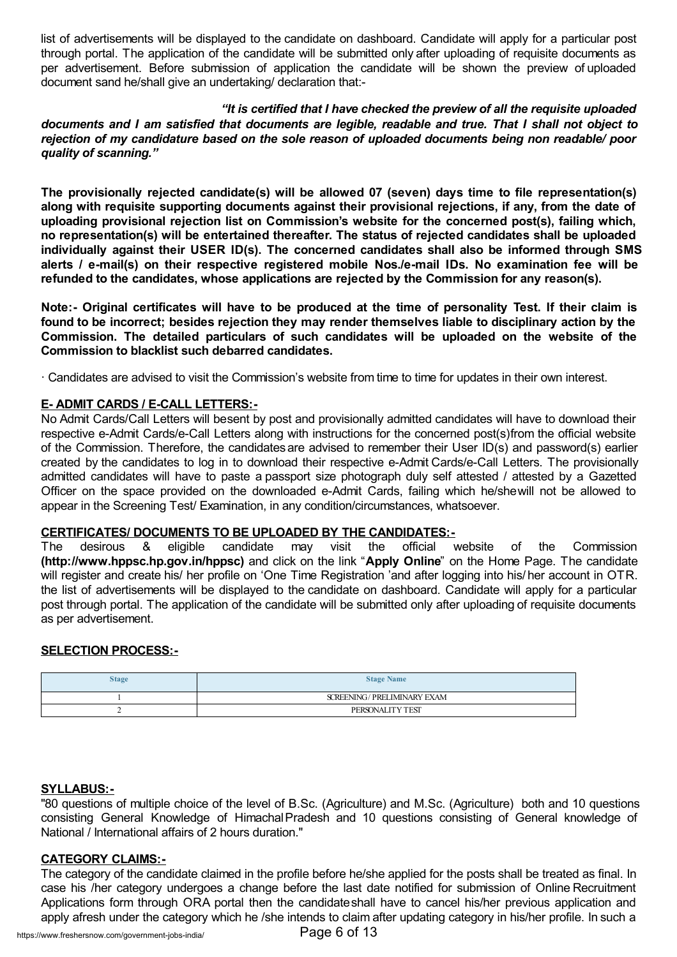list of advertisements will be displayed to the candidate on dashboard. Candidate will apply for a particular post through portal. The application of the candidate will be submitted only after uploading of requisite documents as per advertisement. Before submission of application the candidate will be shown the preview of uploaded document sand he/shall give an undertaking/ declaration that:-

### *"It is certified that I have checked the preview of all the requisite uploaded*

documents and I am satisfied that documents are legible, readable and true. That I shall not object to *rejection of my candidature based on the sole reason of uploaded documents being non readable/ poor quality of scanning."*

**The provisionally rejected candidate(s) will be allowed 07 (seven) days time to file representation(s) along with requisite supporting documents against their provisional rejections, if any, from the date of uploading provisional rejection list on Commission's website for the concerned post(s), failing which, no representation(s) will be entertained thereafter. The status of rejected candidates shall be uploaded individually against their USER ID(s). The concerned candidates shall also be informed through SMS alerts / e-mail(s) on their respective registered mobile Nos./e-mail IDs. No examination fee will be refunded to the candidates, whose applications are rejected by the Commission for any reason(s).**

Note:- Original certificates will have to be produced at the time of personality Test. If their claim is **found to be incorrect; besides rejection they may render themselves liable to disciplinary action by the Commission. The detailed particulars of such candidates will be uploaded on the website of the Commission to blacklist such debarred candidates.**

· Candidates are advised to visit the Commission's website from time to time for updates in their own interest.

## **E- ADMIT CARDS / E-CALL LETTERS:-**

No Admit Cards/Call Letters will besent by post and provisionally admitted candidates will have to download their respective e-Admit Cards/e-Call Letters along with instructions for the concerned post(s)from the official website of the Commission. Therefore, the candidates are advised to remember their User ID(s) and password(s) earlier created by the candidates to log in to download their respective e-Admit Cards/e-Call Letters. The provisionally admitted candidates will have to paste a passport size photograph duly self attested / attested by a Gazetted Officer on the space provided on the downloaded e-Admit Cards, failing which he/shewill not be allowed to appear in the Screening Test/ Examination, in any condition/circumstances, whatsoever.

### **CERTIFICATES/ DOCUMENTS TO BE UPLOADED BY THE CANDIDATES:-**

The desirous & eligible candidate may visit the official website of the Commission **(http://www.hppsc.hp.gov.in/hppsc)** and click on the link "**Apply Online**" on the Home Page. The candidate will register and create his/ her profile on 'One Time Registration 'and after logging into his/ her account in OTR. the list of advertisements will be displayed to the candidate on dashboard. Candidate will apply for a particular post through portal. The application of the candidate will be submitted only after uploading of requisite documents as per advertisement.

### **SELECTION PROCESS:-**

| <b>Stage</b> | <b>Stage Name</b>          |
|--------------|----------------------------|
|              | SCREENING/PRELIMINARY EXAM |
|              | PERSONALITY TEST           |

### **SYLLABUS:-**

"80 questions of multiple choice of the level of B.Sc. (Agriculture) and M.Sc. (Agriculture) both and 10 questions consisting General Knowledge of HimachalPradesh and 10 questions consisting of General knowledge of National / International affairs of 2 hours duration."

### **CATEGORY CLAIMS:-**

The category of the candidate claimed in the profile before he/she applied for the posts shall be treated as final. In case his /her category undergoes a change before the last date notified for submission of Online Recruitment Applications form through ORA portal then the candidateshall have to cancel his/her previous application and apply afresh under the category which he /she intends to claim after updating category in his/her profile. In such a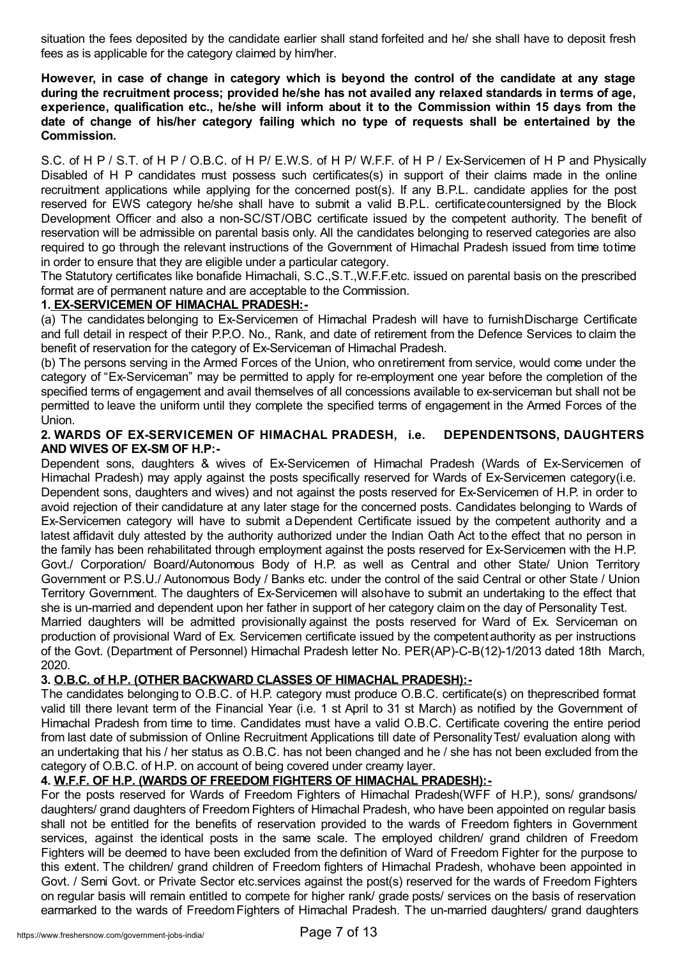situation the fees deposited by the candidate earlier shall stand forfeited and he/ she shall have to deposit fresh fees as is applicable for the category claimed by him/her.

**However, in case of change in category which is beyond the control of the candidate at any stage during the recruitment process; provided he/she has not availed any relaxed standards in terms of age, experience, qualification etc., he/she will inform about it to the Commission within 15 days from the date of change of his/her category failing which no type of requests shall be entertained by the Commission.**

S.C. of H P / S.T. of H P / O.B.C. of H P/ E.W.S. of H P/ W.F.F. of H P / Ex-Servicemen of H P and Physically Disabled of H P candidates must possess such certificates(s) in support of their claims made in the online recruitment applications while applying for the concerned post(s). If any B.P.L. candidate applies for the post reserved for EWS category he/she shall have to submit a valid B.P.L. certificate countersigned by the Block Development Officer and also a non-SC/ST/OBC certificate issued by the competent authority. The benefit of reservation will be admissible on parental basis only. All the candidates belonging to reserved categories are also required to go through the relevant instructions of the Government of Himachal Pradesh issued from time totime in order to ensure that they are eligible under a particular category.

The Statutory certificates like bonafide Himachali, S.C.,S.T.,W.F.F.etc. issued on parental basis on the prescribed format are of permanent nature and are acceptable to the Commission.

## **1. EX-SERVICEMEN OF HIMACHAL PRADESH:-**

(a) The candidates belonging to Ex-Servicemen of Himachal Pradesh will have to furnishDischarge Certificate and full detail in respect of their P.P.O. No., Rank, and date of retirement from the Defence Services to claim the benefit of reservation for the category of Ex-Serviceman of Himachal Pradesh.

(b) The persons serving in the Armed Forces of the Union, who onretirement from service, would come under the category of "Ex-Serviceman" may be permitted to apply for re-employment one year before the completion of the specified terms of engagement and avail themselves of all concessions available to ex-serviceman but shall not be permitted to leave the uniform until they complete the specified terms of engagement in the Armed Forces of the Union.

# **2. WARDS OF EX-SERVICEMEN OF HIMACHAL PRADESH, i.e. DEPENDENTSONS, DAUGHTERS AND WIVES OF EX-SM OF H.P:-**

Dependent sons, daughters & wives of Ex-Servicemen of Himachal Pradesh (Wards of Ex-Servicemen of Himachal Pradesh) may apply against the posts specifically reserved for Wards of Ex-Servicemen category(i.e. Dependent sons, daughters and wives) and not against the posts reserved for Ex-Servicemen of H.P. in order to avoid rejection of their candidature at any later stage for the concerned posts. Candidates belonging to Wards of Ex-Servicemen category will have to submit aDependent Certificate issued by the competent authority and a latest affidavit duly attested by the authority authorized under the Indian Oath Act to the effect that no person in the family has been rehabilitated through employment against the posts reserved for Ex-Servicemen with the H.P. Govt./ Corporation/ Board/Autonomous Body of H.P. as well as Central and other State/ Union Territory Government or P.S.U./ Autonomous Body / Banks etc. under the control of the said Central or other State / Union Territory Government. The daughters of Ex-Servicemen will alsohave to submit an undertaking to the effect that she is un-married and dependent upon her father in support of her category claim on the day of Personality Test. Married daughters will be admitted provisionally against the posts reserved for Ward of Ex. Serviceman on production of provisional Ward of Ex. Servicemen certificate issued by the competent authority as per instructions of the Govt. (Department of Personnel) Himachal Pradesh letter No. PER(AP)-C-B(12)-1/2013 dated 18th March, 2020.

## **3. O.B.C. of H.P. (OTHER BACKWARD CLASSES OF HIMACHAL PRADESH):-**

The candidates belonging to O.B.C. of H.P. category must produce O.B.C. certificate(s) on theprescribed format valid till there levant term of the Financial Year (i.e. 1 st April to 31 st March) as notified by the Government of Himachal Pradesh from time to time. Candidates must have a valid O.B.C. Certificate covering the entire period from last date of submission of Online Recruitment Applications till date of Personality Test/ evaluation along with an undertaking that his / her status as O.B.C. has not been changed and he / she has not been excluded from the category of O.B.C. of H.P. on account of being covered under creamy layer.

## **4. W.F.F. OF H.P. (WARDS OF FREEDOM FIGHTERS OF HIMACHAL PRADESH):-**

For the posts reserved for Wards of Freedom Fighters of Himachal Pradesh(WFF of H.P.), sons/ grandsons/ daughters/ grand daughters of Freedom Fighters of Himachal Pradesh, who have been appointed on regular basis shall not be entitled for the benefits of reservation provided to the wards of Freedom fighters in Government services, against the identical posts in the same scale. The employed children/ grand children of Freedom Fighters will be deemed to have been excluded from the definition of Ward of Freedom Fighter for the purpose to this extent. The children/ grand children of Freedom fighters of Himachal Pradesh, whohave been appointed in Govt. / Semi Govt. or Private Sector etc.services against the post(s) reserved for the wards of Freedom Fighters on regular basis will remain entitled to compete for higher rank/ grade posts/ services on the basis of reservation earmarked to the wards of FreedomFighters of Himachal Pradesh. The un-married daughters/ grand daughters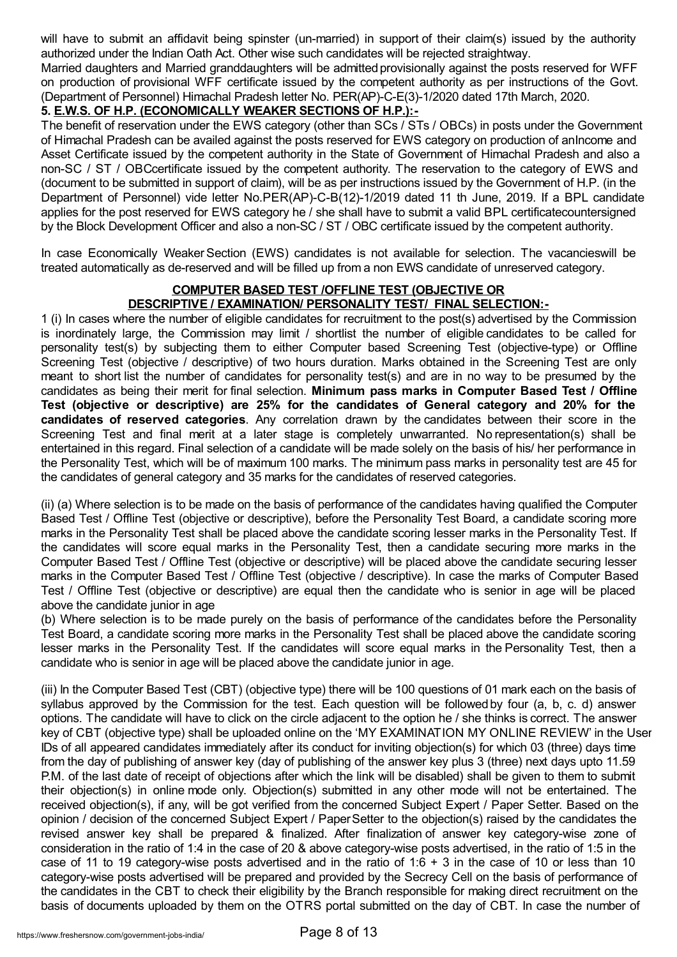will have to submit an affidavit being spinster (un-married) in support of their claim(s) issued by the authority authorized under the Indian Oath Act. Other wise such candidates will be rejected straightway.

Married daughters and Married granddaughters will be admitted provisionally against the posts reserved for WFF on production of provisional WFF certificate issued by the competent authority as per instructions of the Govt. (Department of Personnel) Himachal Pradesh letter No. PER(AP)-C-E(3)-1/2020 dated 17th March, 2020.

# **5. E.W.S. OF H.P. (ECONOMICALLY WEAKER SECTIONS OF H.P.):-**

The benefit of reservation under the EWS category (other than SCs / STs / OBCs) in posts under the Government of Himachal Pradesh can be availed against the posts reserved for EWS category on production of anIncome and Asset Certificate issued by the competent authority in the State of Government of Himachal Pradesh and also a non-SC / ST / OBCcertificate issued by the competent authority. The reservation to the category of EWS and (document to be submitted in support of claim), will be as per instructions issued by the Government of H.P. (in the Department of Personnel) vide letter No.PER(AP)-C-B(12)-1/2019 dated 11 th June, 2019. If a BPL candidate applies for the post reserved for EWS category he / she shall have to submit a valid BPL certificatecountersigned by the Block Development Officer and also a non-SC / ST / OBC certificate issued by the competent authority.

In case Economically Weaker Section (EWS) candidates is not available for selection. The vacancies will be treated automatically as de-reserved and will be filled up from a non EWS candidate of unreserved category.

### **COMPUTER BASED TEST /OFFLINE TEST (OBJECTIVE OR DESCRIPTIVE / EXAMINATION/ PERSONALITY TEST/ FINAL SELECTION:-**

1 (i) In cases where the number of eligible candidates for recruitment to the post(s) advertised by the Commission is inordinately large, the Commission may limit / shortlist the number of eligible candidates to be called for personality test(s) by subjecting them to either Computer based Screening Test (objective-type) or Offline Screening Test (objective / descriptive) of two hours duration. Marks obtained in the Screening Test are only meant to short list the number of candidates for personality test(s) and are in no way to be presumed by the candidates as being their merit for final selection. **Minimum pass marks in Computer Based Test / Offline Test (objective or descriptive) are 25% for the candidates of General category and 20% for the candidates of reserved categories**. Any correlation drawn by the candidates between their score in the Screening Test and final merit at a later stage is completely unwarranted. No representation(s) shall be entertained in this regard. Final selection of a candidate will be made solely on the basis of his/ her performance in the Personality Test, which will be of maximum 100 marks. The minimum pass marks in personality test are 45 for the candidates of general category and 35 marks for the candidates of reserved categories.

(ii) (a) Where selection is to be made on the basis of performance of the candidates having qualified the Computer Based Test / Offline Test (objective or descriptive), before the Personality Test Board, a candidate scoring more marks in the Personality Test shall be placed above the candidate scoring lesser marks in the Personality Test. If the candidates will score equal marks in the Personality Test, then a candidate securing more marks in the Computer Based Test / Offline Test (objective or descriptive) will be placed above the candidate securing lesser marks in the Computer Based Test / Offline Test (objective / descriptive). In case the marks of Computer Based Test / Offline Test (objective or descriptive) are equal then the candidate who is senior in age will be placed above the candidate junior in age

(b) Where selection is to be made purely on the basis of performance of the candidates before the Personality Test Board, a candidate scoring more marks in the Personality Test shall be placed above the candidate scoring lesser marks in the Personality Test. If the candidates will score equal marks in the Personality Test, then a candidate who is senior in age will be placed above the candidate junior in age.

(iii) In the Computer Based Test (CBT) (objective type) there will be 100 questions of 01 mark each on the basis of syllabus approved by the Commission for the test. Each question will be followed by four (a, b, c. d) answer options. The candidate will have to click on the circle adjacent to the option he / she thinks is correct. The answer key of CBT (objective type) shall be uploaded online on the 'MY EXAMINATION MY ONLINE REVIEW' in the User IDs of all appeared candidates immediately after its conduct for inviting objection(s) for which 03 (three) days time from the day of publishing of answer key (day of publishing of the answer key plus 3 (three) next days upto 11.59 P.M. of the last date of receipt of objections after which the link will be disabled) shall be given to them to submit their objection(s) in online mode only. Objection(s) submitted in any other mode will not be entertained. The received objection(s), if any, will be got verified from the concerned Subject Expert / Paper Setter. Based on the opinion / decision of the concerned Subject Expert / PaperSetter to the objection(s) raised by the candidates the revised answer key shall be prepared & finalized. After finalization of answer key category-wise zone of consideration in the ratio of 1:4 in the case of 20 & above category-wise posts advertised, in the ratio of 1:5 in the case of 11 to 19 category-wise posts advertised and in the ratio of  $1:6 + 3$  in the case of 10 or less than 10 category-wise posts advertised will be prepared and provided by the Secrecy Cell on the basis of performance of the candidates in the CBT to check their eligibility by the Branch responsible for making direct recruitment on the basis of documents uploaded by them on the OTRS portal submitted on the day of CBT. In case the number of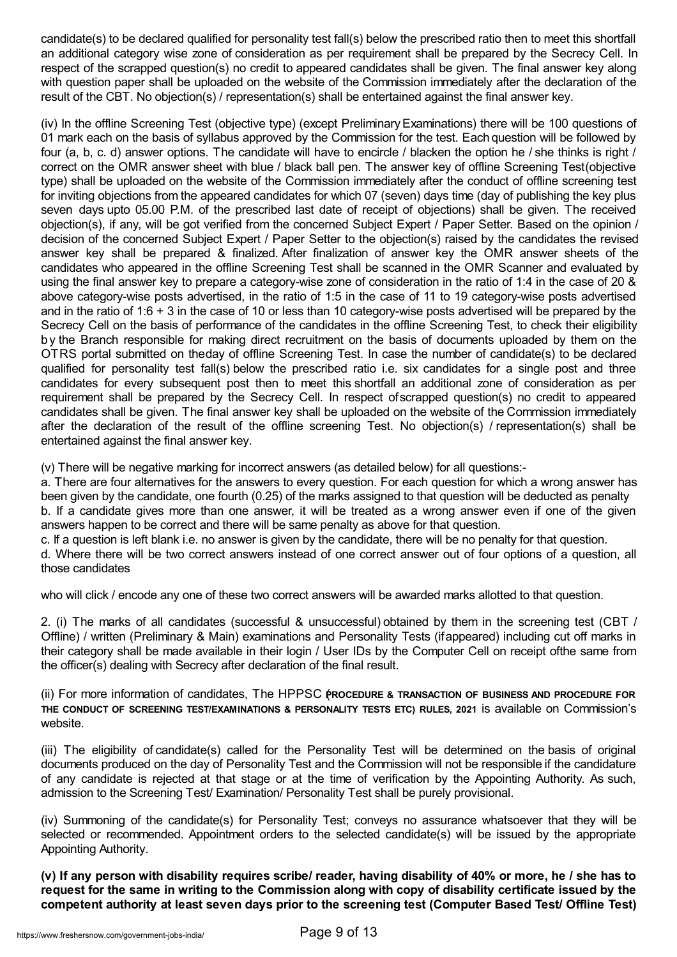candidate(s) to be declared qualified for personality test fall(s) below the prescribed ratio then to meet this shortfall an additional category wise zone of consideration as per requirement shall be prepared by the Secrecy Cell. In respect of the scrapped question(s) no credit to appeared candidates shall be given. The final answer key along with question paper shall be uploaded on the website of the Commission immediately after the declaration of the result of the CBT. No objection(s) / representation(s) shall be entertained against the final answer key.

(iv) In the offline Screening Test (objective type) (except PreliminaryExaminations) there will be 100 questions of 01 mark each on the basis of syllabus approved by the Commission for the test. Each question will be followed by four (a, b, c. d) answer options. The candidate will have to encircle / blacken the option he / she thinks is right / correct on the OMR answer sheet with blue / black ball pen. The answer key of offline Screening Test(objective type) shall be uploaded on the website of the Commission immediately after the conduct of offline screening test for inviting objections from the appeared candidates for which 07 (seven) days time (day of publishing the key plus seven days upto 05.00 P.M. of the prescribed last date of receipt of objections) shall be given. The received objection(s), if any, will be got verified from the concerned Subject Expert / Paper Setter. Based on the opinion / decision of the concerned Subject Expert / Paper Setter to the objection(s) raised by the candidates the revised answer key shall be prepared & finalized. After finalization of answer key the OMR answer sheets of the candidates who appeared in the offline Screening Test shall be scanned in the OMR Scanner and evaluated by using the final answer key to prepare a category-wise zone of consideration in the ratio of 1:4 in the case of 20 & above category-wise posts advertised, in the ratio of 1:5 in the case of 11 to 19 category-wise posts advertised and in the ratio of 1:6 + 3 in the case of 10 or less than 10 category-wise posts advertised will be prepared by the Secrecy Cell on the basis of performance of the candidates in the offline Screening Test, to check their eligibility b y the Branch responsible for making direct recruitment on the basis of documents uploaded by them on the OTRS portal submitted on theday of offline Screening Test. In case the number of candidate(s) to be declared qualified for personality test fall(s) below the prescribed ratio i.e. six candidates for a single post and three candidates for every subsequent post then to meet this shortfall an additional zone of consideration as per requirement shall be prepared by the Secrecy Cell. In respect ofscrapped question(s) no credit to appeared candidates shall be given. The final answer key shall be uploaded on the website of the Commission immediately after the declaration of the result of the offline screening Test. No objection(s) / representation(s) shall be entertained against the final answer key.

(v) There will be negative marking for incorrect answers (as detailed below) for all questions:-

a. There are four alternatives for the answers to every question. For each question for which a wrong answer has been given by the candidate, one fourth (0.25) of the marks assigned to that question will be deducted as penalty b. If a candidate gives more than one answer, it will be treated as a wrong answer even if one of the given answers happen to be correct and there will be same penalty as above for that question.

c. If a question is left blank i.e. no answer is given by the candidate, there will be no penalty for that question.

d. Where there will be two correct answers instead of one correct answer out of four options of a question, all those candidates

who will click / encode any one of these two correct answers will be awarded marks allotted to that question.

2. (i) The marks of all candidates (successful & unsuccessful) obtained by them in the screening test (CBT / Offline) / written (Preliminary & Main) examinations and Personality Tests (ifappeared) including cut off marks in their category shall be made available in their login / User IDs by the Computer Cell on receipt ofthe same from the officer(s) dealing with Secrecy after declaration of the final result.

(ii) For more information of candidates, The HPPSC **P**(**ROCEDURE & TRANSACTION OF BUSINESS AND PROCEDURE FOR THE CONDUCT OF SCREENING TEST/EXAMINATIONS & PERSONALITY TESTS ETC) RULES, 2021** is available on Commission's website.

(iii) The eligibility of candidate(s) called for the Personality Test will be determined on the basis of original documents produced on the day of Personality Test and the Commission will not be responsible if the candidature of any candidate is rejected at that stage or at the time of verification by the Appointing Authority. As such, admission to the Screening Test/ Examination/ Personality Test shall be purely provisional.

(iv) Summoning of the candidate(s) for Personality Test; conveys no assurance whatsoever that they will be selected or recommended. Appointment orders to the selected candidate(s) will be issued by the appropriate Appointing Authority.

(v) If any person with disability requires scribe/ reader, having disability of 40% or more, he / she has to request for the same in writing to the Commission along with copy of disability certificate issued by the **competent authority at least seven days prior to the screening test (Computer Based Test/ Offline Test)**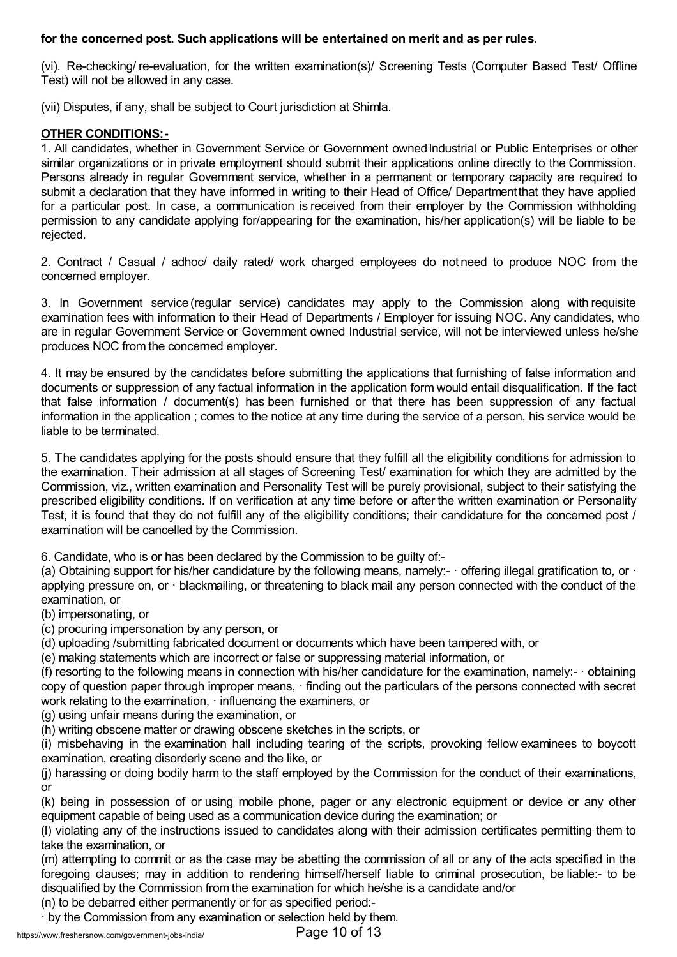# **for the concerned post. Such applications will be entertained on merit and as per rules**.

(vi). Re-checking/ re-evaluation, for the written examination(s)/ Screening Tests (Computer Based Test/ Offline Test) will not be allowed in any case.

(vii) Disputes, if any, shall be subject to Court jurisdiction at Shimla.

# **OTHER CONDITIONS:-**

1. All candidates, whether in Government Service or Government ownedIndustrial or Public Enterprises or other similar organizations or in private employment should submit their applications online directly to the Commission. Persons already in regular Government service, whether in a permanent or temporary capacity are required to submit a declaration that they have informed in writing to their Head of Office/ Departmentthat they have applied for a particular post. In case, a communication is received from their employer by the Commission withholding permission to any candidate applying for/appearing for the examination, his/her application(s) will be liable to be rejected.

2. Contract / Casual / adhoc/ daily rated/ work charged employees do not need to produce NOC from the concerned employer.

3. In Government service (regular service) candidates may apply to the Commission along with requisite examination fees with information to their Head of Departments / Employer for issuing NOC. Any candidates, who are in regular Government Service or Government owned Industrial service, will not be interviewed unless he/she produces NOC from the concerned employer.

4. It may be ensured by the candidates before submitting the applications that furnishing of false information and documents or suppression of any factual information in the application form would entail disqualification. If the fact that false information / document(s) has been furnished or that there has been suppression of any factual information in the application ; comes to the notice at any time during the service of a person, his service would be liable to be terminated.

5. The candidates applying for the posts should ensure that they fulfill all the eligibility conditions for admission to the examination. Their admission at all stages of Screening Test/ examination for which they are admitted by the Commission, viz., written examination and Personality Test will be purely provisional, subject to their satisfying the prescribed eligibility conditions. If on verification at any time before or after the written examination or Personality Test, it is found that they do not fulfill any of the eligibility conditions; their candidature for the concerned post / examination will be cancelled by the Commission.

6. Candidate, who is or has been declared by the Commission to be guilty of:-

(a) Obtaining support for his/her candidature by the following means, namely:- offering illegal gratification to, or applying pressure on, or · blackmailing, or threatening to black mail any person connected with the conduct of the examination, or

(b) impersonating, or

(c) procuring impersonation by any person, or

(d) uploading /submitting fabricated document or documents which have been tampered with, or

(e) making statements which are incorrect or false or suppressing material information, or

(f) resorting to the following means in connection with his/her candidature for the examination, namely:- · obtaining copy of question paper through improper means, · finding out the particulars of the persons connected with secret work relating to the examination, · influencing the examiners, or

(g) using unfair means during the examination, or

(h) writing obscene matter or drawing obscene sketches in the scripts, or

(i) misbehaving in the examination hall including tearing of the scripts, provoking fellow examinees to boycott examination, creating disorderly scene and the like, or

(j) harassing or doing bodily harm to the staff employed by the Commission for the conduct of their examinations, or

(k) being in possession of or using mobile phone, pager or any electronic equipment or device or any other equipment capable of being used as a communication device during the examination; or

(l) violating any of the instructions issued to candidates along with their admission certificates permitting them to take the examination, or

(m) attempting to commit or as the case may be abetting the commission of all or any of the acts specified in the foregoing clauses; may in addition to rendering himself/herself liable to criminal prosecution, be liable:- to be disqualified by the Commission from the examination for which he/she is a candidate and/or

(n) to be debarred either permanently or for as specified period:-

by the Commission from any examination or selection held by them.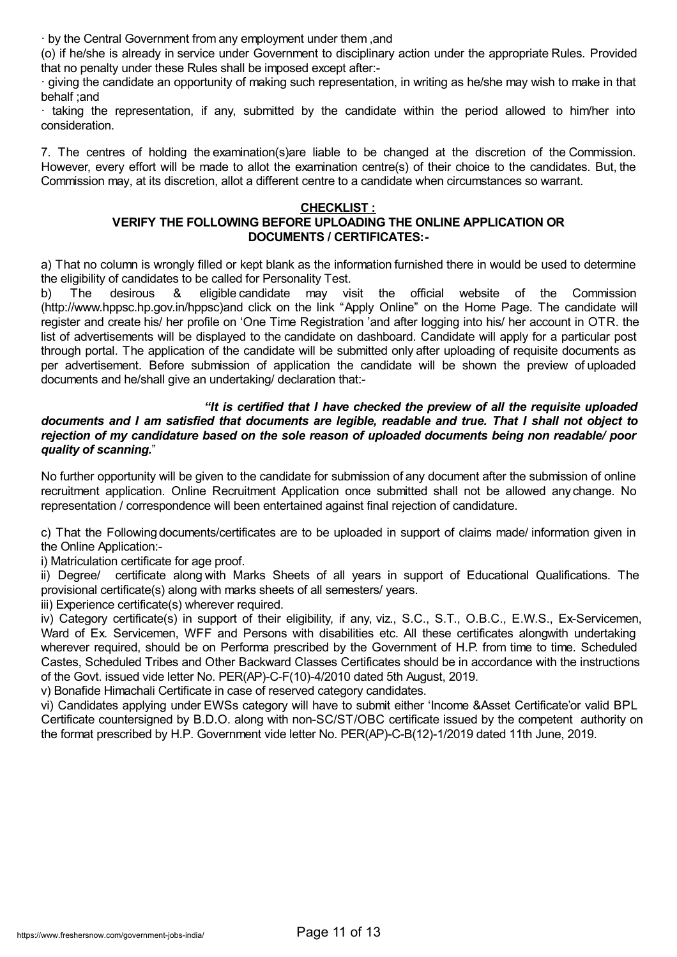· by the Central Government from any employment under them ,and

(o) if he/she is already in service under Government to disciplinary action under the appropriate Rules. Provided that no penalty under these Rules shall be imposed except after:-

· giving the candidate an opportunity of making such representation, in writing as he/she may wish to make in that behalf ;and

· taking the representation, if any, submitted by the candidate within the period allowed to him/her into consideration.

7. The centres of holding the examination(s)are liable to be changed at the discretion of the Commission. However, every effort will be made to allot the examination centre(s) of their choice to the candidates. But, the Commission may, at its discretion, allot a different centre to a candidate when circumstances so warrant.

### **CHECKLIST :**

# **VERIFY THE FOLLOWING BEFORE UPLOADING THE ONLINE APPLICATION OR DOCUMENTS / CERTIFICATES:-**

a) That no column is wrongly filled or kept blank as the information furnished there in would be used to determine the eligibility of candidates to be called for Personality Test.

b) The desirous & eligible candidate may visit the official website of the Commission (http://www.hppsc.hp.gov.in/hppsc)and click on the link "Apply Online" on the Home Page. The candidate will register and create his/ her profile on 'One Time Registration 'and after logging into his/ her account in OTR. the list of advertisements will be displayed to the candidate on dashboard. Candidate will apply for a particular post through portal. The application of the candidate will be submitted only after uploading of requisite documents as per advertisement. Before submission of application the candidate will be shown the preview of uploaded documents and he/shall give an undertaking/ declaration that:-

### *"It is certified that I have checked the preview of all the requisite uploaded* documents and I am satisfied that documents are legible, readable and true. That I shall not object to *rejection of my candidature based on the sole reason of uploaded documents being non readable/ poor quality of scanning.*"

No further opportunity will be given to the candidate for submission of any document after the submission of online recruitment application. Online Recruitment Application once submitted shall not be allowed any change. No representation / correspondence will been entertained against final rejection of candidature.

c) That the Following documents/certificates are to be uploaded in support of claims made/ information given in the Online Application:-

i) Matriculation certificate for age proof.

ii) Degree/ certificate along with Marks Sheets of all years in support of Educational Qualifications. The provisional certificate(s) along with marks sheets of all semesters/ years.

iii) Experience certificate(s) wherever required.

iv) Category certificate(s) in support of their eligibility, if any, viz., S.C., S.T., O.B.C., E.W.S., Ex-Servicemen, Ward of Ex. Servicemen, WFF and Persons with disabilities etc. All these certificates alongwith undertaking wherever required, should be on Performa prescribed by the Government of H.P. from time to time. Scheduled Castes, Scheduled Tribes and Other Backward Classes Certificates should be in accordance with the instructions of the Govt. issued vide letter No. PER(AP)-C-F(10)-4/2010 dated 5th August, 2019.

v) Bonafide Himachali Certificate in case of reserved category candidates.

vi) Candidates applying under EWSs category will have to submit either 'Income &Asset Certificate'or valid BPL Certificate countersigned by B.D.O. along with non-SC/ST/OBC certificate issued by the competent authority on the format prescribed by H.P. Government vide letter No. PER(AP)-C-B(12)-1/2019 dated 11th June, 2019.